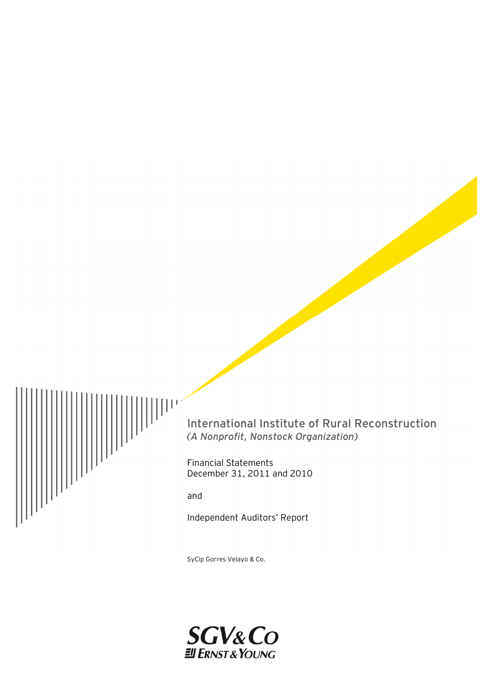

International Institute of Rural Reconstruction *(A Nonprofit, Nonstock Organization)*

Financial Statements December 31, 2011 and 2010

and

Independent Auditors' Report

SyCip Gorres Velayo & Co.

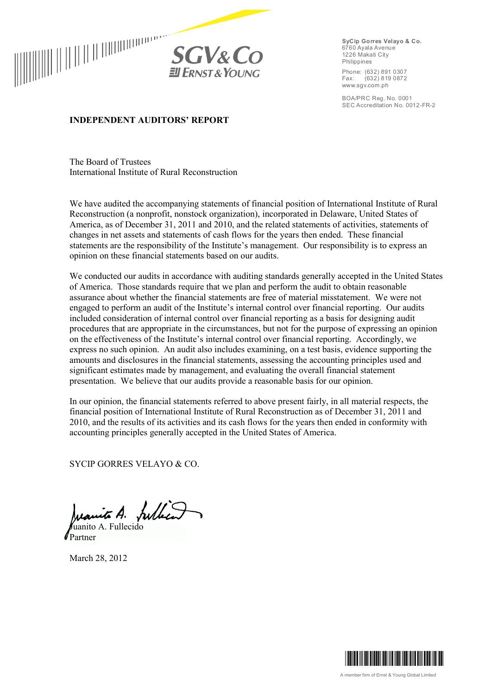



**SyCip Gorres Velayo & Co.** 6760 Ayala Avenue 1226 Makati City Philippines

Phone: (632) 891 0307<br>Fax: (632) 819 0872  $(632) 8190872$ www.sgv.com.ph

BOA/PRC Reg. No. 0001 SEC Accreditation No. 0012-FR-2

## **INDEPENDENT AUDITORS' REPORT**

The Board of Trustees International Institute of Rural Reconstruction

We have audited the accompanying statements of financial position of International Institute of Rural Reconstruction (a nonprofit, nonstock organization), incorporated in Delaware, United States of America, as of December 31, 2011 and 2010, and the related statements of activities, statements of changes in net assets and statements of cash flows for the years then ended. These financial statements are the responsibility of the Institute's management. Our responsibility is to express an opinion on these financial statements based on our audits.

We conducted our audits in accordance with auditing standards generally accepted in the United States of America. Those standards require that we plan and perform the audit to obtain reasonable assurance about whether the financial statements are free of material misstatement. We were not engaged to perform an audit of the Institute's internal control over financial reporting. Our audits included consideration of internal control over financial reporting as a basis for designing audit procedures that are appropriate in the circumstances, but not for the purpose of expressing an opinion on the effectiveness of the Institute's internal control over financial reporting. Accordingly, we express no such opinion. An audit also includes examining, on a test basis, evidence supporting the amounts and disclosures in the financial statements, assessing the accounting principles used and significant estimates made by management, and evaluating the overall financial statement presentation. We believe that our audits provide a reasonable basis for our opinion.

In our opinion, the financial statements referred to above present fairly, in all material respects, the financial position of International Institute of Rural Reconstruction as of December 31, 2011 and 2010, and the results of its activities and its cash flows for the years then ended in conformity with accounting principles generally accepted in the United States of America.

SYCIP GORRES VELAYO & CO.

Juanita A. fulled

Juanito A. Fullecido Partner

March 28, 2012

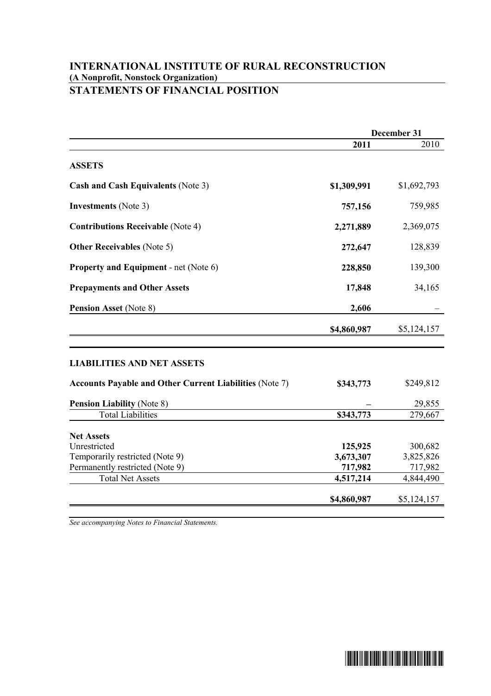## **INTERNATIONAL INSTITUTE OF RURAL RECONSTRUCTION (A Nonprofit, Nonstock Organization) STATEMENTS OF FINANCIAL POSITION**

|                                                                | December 31 |             |
|----------------------------------------------------------------|-------------|-------------|
|                                                                | 2011        | 2010        |
| <b>ASSETS</b>                                                  |             |             |
| <b>Cash and Cash Equivalents (Note 3)</b>                      | \$1,309,991 | \$1,692,793 |
| <b>Investments</b> (Note 3)                                    | 757,156     | 759,985     |
| <b>Contributions Receivable (Note 4)</b>                       | 2,271,889   | 2,369,075   |
| <b>Other Receivables</b> (Note 5)                              | 272,647     | 128,839     |
| <b>Property and Equipment - net (Note 6)</b>                   | 228,850     | 139,300     |
| <b>Prepayments and Other Assets</b>                            | 17,848      | 34,165      |
| <b>Pension Asset (Note 8)</b>                                  | 2,606       |             |
|                                                                | \$4,860,987 | \$5,124,157 |
| <b>LIABILITIES AND NET ASSETS</b>                              |             |             |
| <b>Accounts Payable and Other Current Liabilities (Note 7)</b> | \$343,773   | \$249,812   |
| <b>Pension Liability (Note 8)</b>                              |             | 29,855      |
| <b>Total Liabilities</b>                                       | \$343,773   | 279,667     |
| <b>Net Assets</b>                                              |             |             |
| Unrestricted                                                   | 125,925     | 300,682     |
| Temporarily restricted (Note 9)                                | 3,673,307   | 3,825,826   |
| Permanently restricted (Note 9)                                | 717,982     | 717,982     |
| <b>Total Net Assets</b>                                        | 4,517,214   | 4,844,490   |
|                                                                | \$4,860,987 | \$5,124,157 |

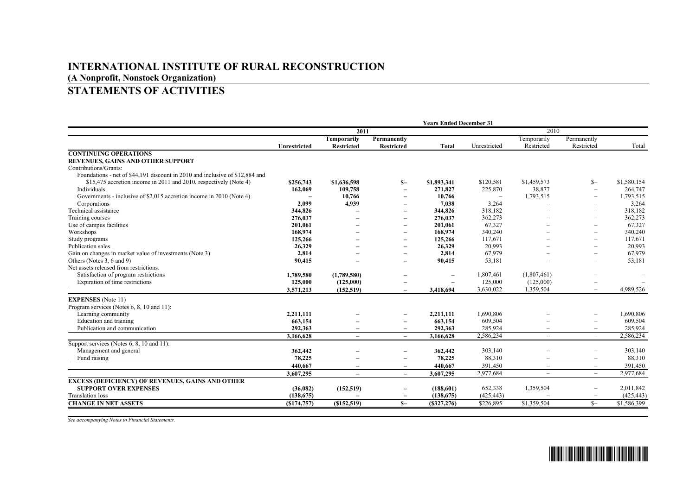## **INTERNATIONAL INSTITUTE OF RURAL RECONSTRUCTION (A Nonprofit, Nonstock Organization)**

# **STATEMENTS OF ACTIVITIES**

|                                                                              | <b>Years Ended December 31</b> |                          |                          |                          |              |                          |                          |             |
|------------------------------------------------------------------------------|--------------------------------|--------------------------|--------------------------|--------------------------|--------------|--------------------------|--------------------------|-------------|
|                                                                              | 2011                           |                          |                          |                          | 2010         |                          |                          |             |
|                                                                              |                                | Temporarily              | Permanently              |                          |              | Temporarily              | Permanently              |             |
|                                                                              | Unrestricted                   | Restricted               | <b>Restricted</b>        | Total                    | Unrestricted | Restricted               | Restricted               | Total       |
| <b>CONTINUING OPERATIONS</b>                                                 |                                |                          |                          |                          |              |                          |                          |             |
| <b>REVENUES, GAINS AND OTHER SUPPORT</b>                                     |                                |                          |                          |                          |              |                          |                          |             |
| Contributions/Grants:                                                        |                                |                          |                          |                          |              |                          |                          |             |
| Foundations - net of \$44,191 discount in 2010 and inclusive of \$12,884 and |                                |                          |                          |                          |              |                          |                          |             |
| \$15,475 accretion income in 2011 and 2010, respectively (Note 4)            | \$256,743                      | \$1,636,598              | $S-$                     | \$1,893,341              | \$120,581    | \$1,459,573              | $S-$                     | \$1,580,154 |
| Individuals                                                                  | 162,069                        | 109,758                  | $\overline{\phantom{0}}$ | 271,827                  | 225,870      | 38,877                   | $\overline{\phantom{m}}$ | 264,747     |
| Governments - inclusive of \$2,015 accretion income in 2010 (Note 4)         |                                | 10,766                   |                          | 10,766                   |              | 1,793,515                | $\overline{\phantom{0}}$ | 1,793,515   |
| Corporations                                                                 | 2,099                          | 4,939                    |                          | 7.038                    | 3,264        |                          | $\equiv$                 | 3,264       |
| Technical assistance                                                         | 344,826                        |                          | $\overline{\phantom{0}}$ | 344,826                  | 318,182      |                          | -                        | 318,182     |
| Training courses                                                             | 276,037                        |                          | $\overline{\phantom{0}}$ | 276,037                  | 362,273      |                          | $\overline{\phantom{0}}$ | 362,273     |
| Use of campus facilities                                                     | 201,061                        |                          | $\overline{\phantom{0}}$ | 201,061                  | 67,327       |                          | $\overline{\phantom{0}}$ | 67,327      |
| Workshops                                                                    | 168,974                        |                          | $\overline{\phantom{0}}$ | 168,974                  | 340,240      |                          | $\overline{\phantom{0}}$ | 340,240     |
| Study programs                                                               | 125,266                        |                          |                          | 125,266                  | 117,671      |                          |                          | 117,671     |
| Publication sales                                                            | 26,329                         |                          | $\overline{\phantom{0}}$ | 26,329                   | 20,993       |                          | ÷                        | 20,993      |
| Gain on changes in market value of investments (Note 3)                      | 2.814                          |                          | $\overline{\phantom{0}}$ | 2.814                    | 67,979       |                          | $\overline{\phantom{0}}$ | 67,979      |
| Others (Notes 3, 6 and 9)                                                    | 90,415                         |                          | $\overline{\phantom{0}}$ | 90,415                   | 53,181       |                          | $\overline{\phantom{0}}$ | 53,181      |
| Net assets released from restrictions:                                       |                                |                          |                          |                          |              |                          |                          |             |
| Satisfaction of program restrictions                                         | 1,789,580                      | (1,789,580)              | $\overline{\phantom{0}}$ | $\overline{\phantom{a}}$ | 1,807,461    | (1,807,461)              |                          |             |
| Expiration of time restrictions                                              | 125,000                        | (125,000)                |                          |                          | 125,000      | (125,000)                | $\overline{\phantom{m}}$ |             |
|                                                                              | 3,571,213                      | (152, 519)               | $\overline{a}$           | 3,418,694                | 3,630,022    | 1,359,504                | $\overline{\phantom{0}}$ | 4,989,526   |
| <b>EXPENSES</b> (Note 11)                                                    |                                |                          |                          |                          |              |                          |                          |             |
| Program services (Notes 6, 8, 10 and 11):                                    |                                |                          |                          |                          |              |                          |                          |             |
| Learning community                                                           | 2,211,111                      |                          | $\overline{\phantom{0}}$ | 2,211,111                | 1,690,806    |                          |                          | 1,690,806   |
| Education and training                                                       | 663,154                        |                          |                          | 663,154                  | 609,504      |                          | $\overline{\phantom{0}}$ | 609,504     |
| Publication and communication                                                | 292,363                        | $\overline{\phantom{0}}$ | $\overline{\phantom{0}}$ | 292.363                  | 285,924      | $\overline{\phantom{a}}$ | $\overline{\phantom{m}}$ | 285,924     |
|                                                                              | 3,166,628                      | $\overline{\phantom{0}}$ | $\overline{\phantom{0}}$ | 3,166,628                | 2,586,234    | $\qquad \qquad -$        | $\overline{\phantom{0}}$ | 2,586,234   |
| Support services (Notes 6, 8, 10 and 11):                                    |                                |                          |                          |                          |              |                          |                          |             |
| Management and general                                                       | 362,442                        |                          |                          | 362,442                  | 303,140      |                          | $\overline{\phantom{0}}$ | 303,140     |
| Fund raising                                                                 | 78,225                         | $\overline{\phantom{0}}$ | $\overline{\phantom{0}}$ | 78,225                   | 88,310       | $\overline{\phantom{a}}$ | $\overline{\phantom{a}}$ | 88,310      |
|                                                                              | 440,667                        | $\overline{\phantom{0}}$ | $\overline{\phantom{a}}$ | 440.667                  | 391,450      | $\overline{\phantom{a}}$ | $\overline{\phantom{a}}$ | 391.450     |
|                                                                              | 3.607.295                      | $\overline{\phantom{0}}$ | $\overline{\phantom{0}}$ | 3,607,295                | 2.977.684    | $\overline{\phantom{m}}$ | $\overline{\phantom{0}}$ | 2.977.684   |
|                                                                              |                                |                          |                          |                          |              |                          |                          |             |
| <b>EXCESS (DEFICIENCY) OF REVENUES, GAINS AND OTHER</b>                      |                                |                          |                          |                          |              |                          |                          |             |
| <b>SUPPORT OVER EXPENSES</b>                                                 | (36,082)                       | (152, 519)               | $\qquad \qquad$          | (188,601)                | 652,338      | 1,359,504                | $\overline{\phantom{m}}$ | 2,011,842   |
| <b>Translation</b> loss                                                      | (138, 675)                     |                          |                          | (138, 675)               | (425, 443)   |                          |                          | (425, 443)  |
| <b>CHANGE IN NET ASSETS</b>                                                  | ( \$174, 757)                  | (\$152,519)              | $S-$                     | $($ \$327,276 $)$        | \$226,895    | \$1,359,504              | $S-$                     | \$1,586,399 |

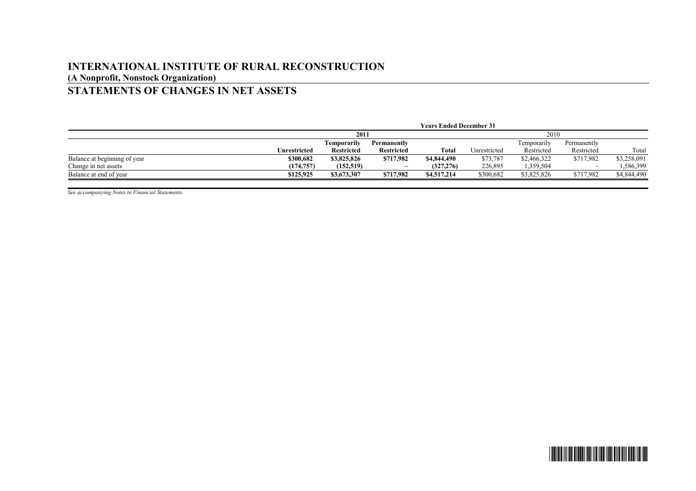## **INTERNATIONAL INSTITUTE OF RURAL RECONSTRUCTION (A Nonprofit, Nonstock Organization) STATEMENTS OF CHANGES IN NET ASSETS**

|                              | <b>Years Ended December 31</b> |             |                          |             |              |             |                          |             |
|------------------------------|--------------------------------|-------------|--------------------------|-------------|--------------|-------------|--------------------------|-------------|
|                              | 2011                           |             |                          |             | 2010         |             |                          |             |
|                              |                                | Temporarily | Permanently              |             |              | Femporarily | Permanently              |             |
|                              | Unrestricted                   | Restricted  | <b>Restricted</b>        | Total       | Unrestricted | Restricted  | Restricted               | Total       |
| Balance at beginning of year | \$300,682                      | \$3,825,826 | \$717,982                | \$4,844,490 | \$73,787     | \$2,466,322 | \$717,982                | \$3,258,091 |
| Change in net assets         | (174, 757)                     | (152, 519)  | $\overline{\phantom{a}}$ | (327, 276)  | 226,895      | 1,359,504   | $\overline{\phantom{a}}$ | 1,586,399   |
| Balance at end of year       | \$125,925                      | \$3,673,307 | \$717,982                | \$4,517,214 | \$300.682    | \$3,825,826 | \$717.982                | \$4,844,490 |

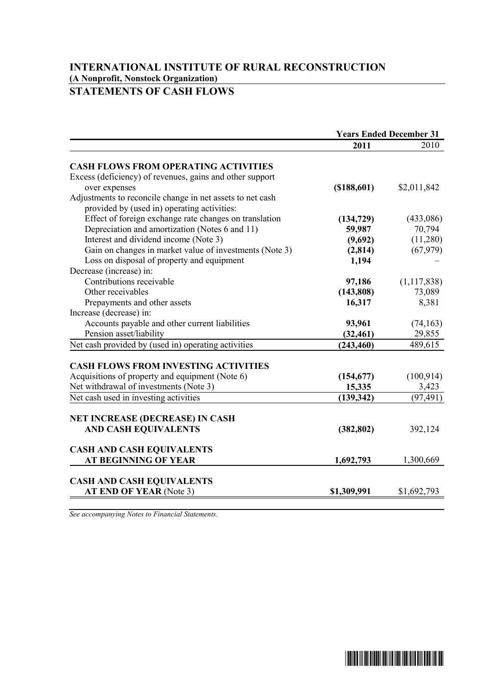## **INTERNATIONAL INSTITUTE OF RURAL RECONSTRUCTION (A Nonprofit, Nonstock Organization) STATEMENTS OF CASH FLOWS**

|                                                           | <b>Years Ended December 31</b> |               |
|-----------------------------------------------------------|--------------------------------|---------------|
|                                                           | 2011                           | 2010          |
| <b>CASH FLOWS FROM OPERATING ACTIVITIES</b>               |                                |               |
| Excess (deficiency) of revenues, gains and other support  |                                |               |
| over expenses                                             | (\$188,601)                    | \$2,011,842   |
| Adjustments to reconcile change in net assets to net cash |                                |               |
| provided by (used in) operating activities:               |                                |               |
| Effect of foreign exchange rate changes on translation    | (134, 729)                     | (433,086)     |
| Depreciation and amortization (Notes 6 and 11)            | 59,987                         | 70,794        |
| Interest and dividend income (Note 3)                     | (9,692)                        | (11,280)      |
| Gain on changes in market value of investments (Note 3)   | (2, 814)                       | (67, 979)     |
| Loss on disposal of property and equipment                | 1,194                          |               |
| Decrease (increase) in:                                   |                                |               |
| Contributions receivable                                  | 97,186                         | (1, 117, 838) |
| Other receivables                                         | (143,808)                      | 73,089        |
| Prepayments and other assets                              | 16,317                         | 8,381         |
| Increase (decrease) in:                                   |                                |               |
| Accounts payable and other current liabilities            | 93,961                         | (74, 163)     |
| Pension asset/liability                                   | (32, 461)                      | 29,855        |
| Net cash provided by (used in) operating activities       | (243, 460)                     | 489,615       |
| <b>CASH FLOWS FROM INVESTING ACTIVITIES</b>               |                                |               |
| Acquisitions of property and equipment (Note 6)           | (154, 677)                     | (100, 914)    |
| Net withdrawal of investments (Note 3)                    | 15,335                         | 3,423         |
| Net cash used in investing activities                     | (139, 342)                     | (97, 491)     |
|                                                           |                                |               |
| <b>NET INCREASE (DECREASE) IN CASH</b>                    |                                |               |
| <b>AND CASH EQUIVALENTS</b>                               | (382, 802)                     | 392,124       |
| <b>CASH AND CASH EQUIVALENTS</b>                          |                                |               |
| <b>AT BEGINNING OF YEAR</b>                               | 1,692,793                      | 1,300,669     |
|                                                           |                                |               |
| <b>CASH AND CASH EQUIVALENTS</b>                          |                                |               |
| AT END OF YEAR (Note 3)                                   | \$1,309,991                    | \$1,692,793   |
|                                                           |                                |               |

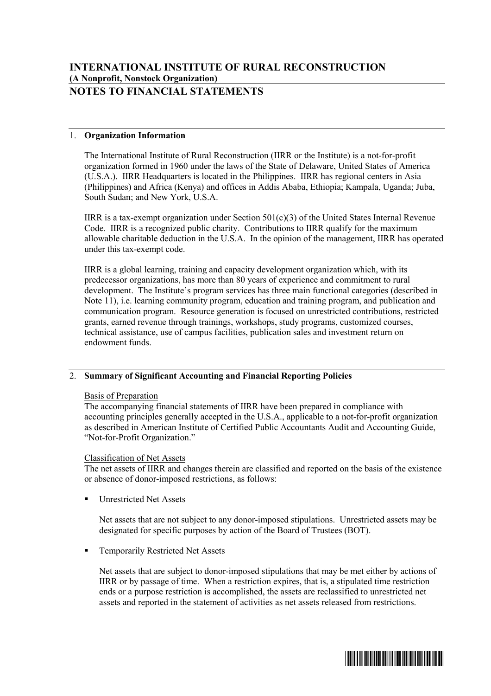# **NOTES TO FINANCIAL STATEMENTS**

## 1. **Organization Information**

The International Institute of Rural Reconstruction (IIRR or the Institute) is a not-for-profit organization formed in 1960 under the laws of the State of Delaware, United States of America (U.S.A.). IIRR Headquarters is located in the Philippines. IIRR has regional centers in Asia (Philippines) and Africa (Kenya) and offices in Addis Ababa, Ethiopia; Kampala, Uganda; Juba, South Sudan; and New York, U.S.A.

IIRR is a tax-exempt organization under Section  $501(c)(3)$  of the United States Internal Revenue Code. IIRR is a recognized public charity. Contributions to IIRR qualify for the maximum allowable charitable deduction in the U.S.A. In the opinion of the management, IIRR has operated under this tax-exempt code.

IIRR is a global learning, training and capacity development organization which, with its predecessor organizations, has more than 80 years of experience and commitment to rural development. The Institute's program services has three main functional categories (described in Note 11), i.e. learning community program, education and training program, and publication and communication program. Resource generation is focused on unrestricted contributions, restricted grants, earned revenue through trainings, workshops, study programs, customized courses, technical assistance, use of campus facilities, publication sales and investment return on endowment funds.

## 2. **Summary of Significant Accounting and Financial Reporting Policies**

## Basis of Preparation

The accompanying financial statements of IIRR have been prepared in compliance with accounting principles generally accepted in the U.S.A., applicable to a not-for-profit organization as described in American Institute of Certified Public Accountants Audit and Accounting Guide, "Not-for-Profit Organization."

## Classification of Net Assets

The net assets of IIRR and changes therein are classified and reported on the basis of the existence or absence of donor-imposed restrictions, as follows:

ß Unrestricted Net Assets

Net assets that are not subject to any donor-imposed stipulations. Unrestricted assets may be designated for specific purposes by action of the Board of Trustees (BOT).

ß Temporarily Restricted Net Assets

Net assets that are subject to donor-imposed stipulations that may be met either by actions of IIRR or by passage of time. When a restriction expires, that is, a stipulated time restriction ends or a purpose restriction is accomplished, the assets are reclassified to unrestricted net assets and reported in the statement of activities as net assets released from restrictions.

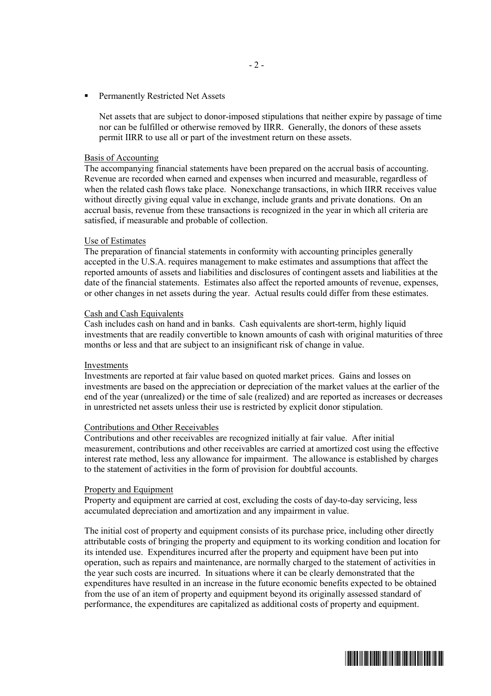ß Permanently Restricted Net Assets

Net assets that are subject to donor-imposed stipulations that neither expire by passage of time nor can be fulfilled or otherwise removed by IIRR. Generally, the donors of these assets permit IIRR to use all or part of the investment return on these assets.

#### Basis of Accounting

The accompanying financial statements have been prepared on the accrual basis of accounting. Revenue are recorded when earned and expenses when incurred and measurable, regardless of when the related cash flows take place. Nonexchange transactions, in which IIRR receives value without directly giving equal value in exchange, include grants and private donations. On an accrual basis, revenue from these transactions is recognized in the year in which all criteria are satisfied, if measurable and probable of collection.

#### Use of Estimates

The preparation of financial statements in conformity with accounting principles generally accepted in the U.S.A. requires management to make estimates and assumptions that affect the reported amounts of assets and liabilities and disclosures of contingent assets and liabilities at the date of the financial statements. Estimates also affect the reported amounts of revenue, expenses, or other changes in net assets during the year. Actual results could differ from these estimates.

#### Cash and Cash Equivalents

Cash includes cash on hand and in banks. Cash equivalents are short-term, highly liquid investments that are readily convertible to known amounts of cash with original maturities of three months or less and that are subject to an insignificant risk of change in value.

#### Investments

Investments are reported at fair value based on quoted market prices. Gains and losses on investments are based on the appreciation or depreciation of the market values at the earlier of the end of the year (unrealized) or the time of sale (realized) and are reported as increases or decreases in unrestricted net assets unless their use is restricted by explicit donor stipulation.

#### Contributions and Other Receivables

Contributions and other receivables are recognized initially at fair value. After initial measurement, contributions and other receivables are carried at amortized cost using the effective interest rate method, less any allowance for impairment. The allowance is established by charges to the statement of activities in the form of provision for doubtful accounts.

#### Property and Equipment

Property and equipment are carried at cost, excluding the costs of day-to-day servicing, less accumulated depreciation and amortization and any impairment in value.

The initial cost of property and equipment consists of its purchase price, including other directly attributable costs of bringing the property and equipment to its working condition and location for its intended use. Expenditures incurred after the property and equipment have been put into operation, such as repairs and maintenance, are normally charged to the statement of activities in the year such costs are incurred. In situations where it can be clearly demonstrated that the expenditures have resulted in an increase in the future economic benefits expected to be obtained from the use of an item of property and equipment beyond its originally assessed standard of performance, the expenditures are capitalized as additional costs of property and equipment.

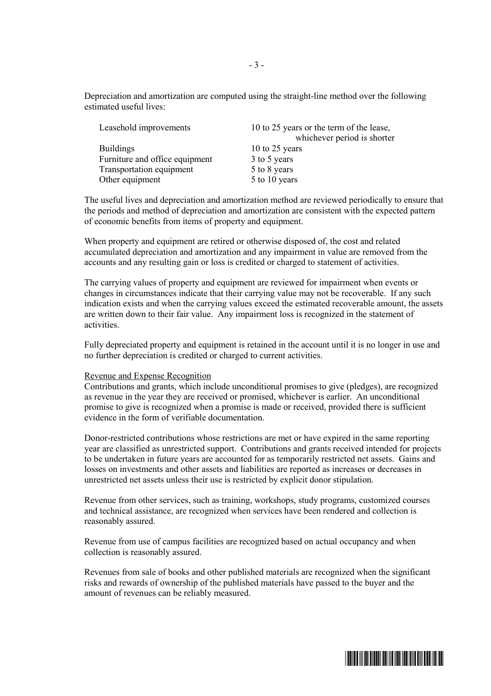Depreciation and amortization are computed using the straight-line method over the following estimated useful lives:

| 10 to 25 years or the term of the lease,<br>whichever period is shorter |
|-------------------------------------------------------------------------|
| 10 to 25 years                                                          |
| 3 to 5 years                                                            |
| 5 to 8 years                                                            |
| 5 to 10 years                                                           |
|                                                                         |

The useful lives and depreciation and amortization method are reviewed periodically to ensure that the periods and method of depreciation and amortization are consistent with the expected pattern of economic benefits from items of property and equipment.

When property and equipment are retired or otherwise disposed of, the cost and related accumulated depreciation and amortization and any impairment in value are removed from the accounts and any resulting gain or loss is credited or charged to statement of activities.

The carrying values of property and equipment are reviewed for impairment when events or changes in circumstances indicate that their carrying value may not be recoverable. If any such indication exists and when the carrying values exceed the estimated recoverable amount, the assets are written down to their fair value. Any impairment loss is recognized in the statement of activities.

Fully depreciated property and equipment is retained in the account until it is no longer in use and no further depreciation is credited or charged to current activities.

#### Revenue and Expense Recognition

Contributions and grants, which include unconditional promises to give (pledges), are recognized as revenue in the year they are received or promised, whichever is earlier. An unconditional promise to give is recognized when a promise is made or received, provided there is sufficient evidence in the form of verifiable documentation.

Donor-restricted contributions whose restrictions are met or have expired in the same reporting year are classified as unrestricted support. Contributions and grants received intended for projects to be undertaken in future years are accounted for as temporarily restricted net assets. Gains and losses on investments and other assets and liabilities are reported as increases or decreases in unrestricted net assets unless their use is restricted by explicit donor stipulation.

Revenue from other services, such as training, workshops, study programs, customized courses and technical assistance, are recognized when services have been rendered and collection is reasonably assured.

Revenue from use of campus facilities are recognized based on actual occupancy and when collection is reasonably assured.

Revenues from sale of books and other published materials are recognized when the significant risks and rewards of ownership of the published materials have passed to the buyer and the amount of revenues can be reliably measured.

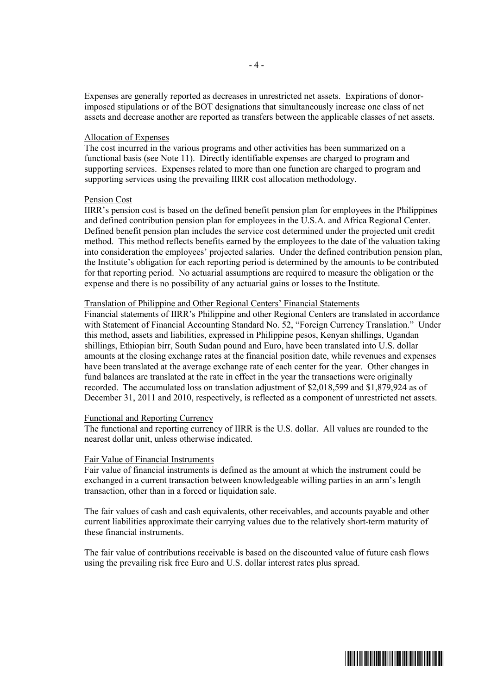Expenses are generally reported as decreases in unrestricted net assets. Expirations of donorimposed stipulations or of the BOT designations that simultaneously increase one class of net assets and decrease another are reported as transfers between the applicable classes of net assets.

### Allocation of Expenses

The cost incurred in the various programs and other activities has been summarized on a functional basis (see Note 11). Directly identifiable expenses are charged to program and supporting services. Expenses related to more than one function are charged to program and supporting services using the prevailing IIRR cost allocation methodology.

#### Pension Cost

IIRR's pension cost is based on the defined benefit pension plan for employees in the Philippines and defined contribution pension plan for employees in the U.S.A. and Africa Regional Center. Defined benefit pension plan includes the service cost determined under the projected unit credit method. This method reflects benefits earned by the employees to the date of the valuation taking into consideration the employees' projected salaries. Under the defined contribution pension plan, the Institute's obligation for each reporting period is determined by the amounts to be contributed for that reporting period. No actuarial assumptions are required to measure the obligation or the expense and there is no possibility of any actuarial gains or losses to the Institute.

#### Translation of Philippine and Other Regional Centers' Financial Statements

Financial statements of IIRR's Philippine and other Regional Centers are translated in accordance with Statement of Financial Accounting Standard No. 52, "Foreign Currency Translation." Under this method, assets and liabilities, expressed in Philippine pesos, Kenyan shillings, Ugandan shillings, Ethiopian birr, South Sudan pound and Euro, have been translated into U.S. dollar amounts at the closing exchange rates at the financial position date, while revenues and expenses have been translated at the average exchange rate of each center for the year. Other changes in fund balances are translated at the rate in effect in the year the transactions were originally recorded. The accumulated loss on translation adjustment of \$2,018,599 and \$1,879,924 as of December 31, 2011 and 2010, respectively, is reflected as a component of unrestricted net assets.

#### Functional and Reporting Currency

The functional and reporting currency of IIRR is the U.S. dollar. All values are rounded to the nearest dollar unit, unless otherwise indicated.

#### Fair Value of Financial Instruments

Fair value of financial instruments is defined as the amount at which the instrument could be exchanged in a current transaction between knowledgeable willing parties in an arm's length transaction, other than in a forced or liquidation sale.

The fair values of cash and cash equivalents, other receivables, and accounts payable and other current liabilities approximate their carrying values due to the relatively short-term maturity of these financial instruments.

The fair value of contributions receivable is based on the discounted value of future cash flows using the prevailing risk free Euro and U.S. dollar interest rates plus spread.

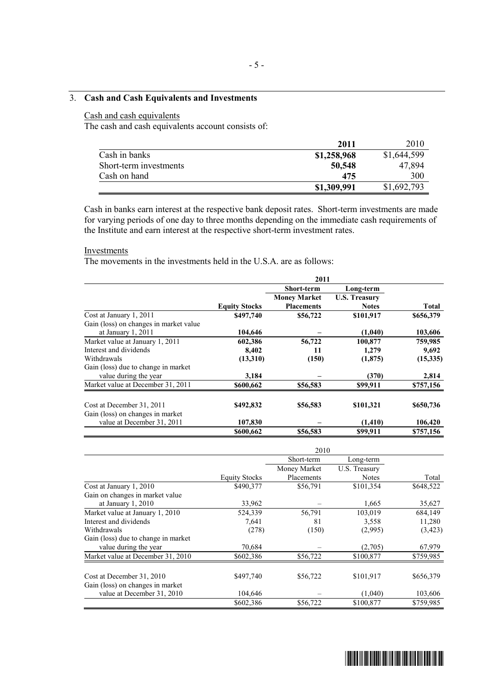## 3. **Cash and Cash Equivalents and Investments**

## Cash and cash equivalents

The cash and cash equivalents account consists of:

|                        | 2011        | 2010        |
|------------------------|-------------|-------------|
| Cash in banks          | \$1,258,968 | \$1,644,599 |
| Short-term investments | 50,548      | 47.894      |
| Cash on hand           | 475         | 300         |
|                        | \$1,309,991 | \$1,692,793 |

Cash in banks earn interest at the respective bank deposit rates. Short-term investments are made for varying periods of one day to three months depending on the immediate cash requirements of the Institute and earn interest at the respective short-term investment rates.

#### Investments

The movements in the investments held in the U.S.A. are as follows:

|                                        | 2011                 |                     |                      |           |  |
|----------------------------------------|----------------------|---------------------|----------------------|-----------|--|
|                                        |                      | <b>Short-term</b>   | Long-term            |           |  |
|                                        |                      | <b>Money Market</b> | <b>U.S. Treasury</b> |           |  |
|                                        | <b>Equity Stocks</b> | <b>Placements</b>   | <b>Notes</b>         | Total     |  |
| Cost at January 1, 2011                | \$497,740            | \$56,722            | \$101,917            | \$656,379 |  |
| Gain (loss) on changes in market value |                      |                     |                      |           |  |
| at January 1, 2011                     | 104,646              |                     | (1,040)              | 103,606   |  |
| Market value at January 1, 2011        | 602,386              | 56,722              | 100,877              | 759,985   |  |
| Interest and dividends                 | 8,402                | 11                  | 1,279                | 9,692     |  |
| Withdrawals                            | (13,310)             | (150)               | (1, 875)             | (15,335)  |  |
| Gain (loss) due to change in market    |                      |                     |                      |           |  |
| value during the year                  | 3.184                |                     | (370)                | 2,814     |  |
| Market value at December 31, 2011      | \$600,662            | \$56,583            | \$99,911             | \$757,156 |  |
| Cost at December 31, 2011              | \$492,832            | \$56,583            | \$101,321            | \$650,736 |  |
| Gain (loss) on changes in market       |                      |                     |                      |           |  |
| value at December 31, 2011             | 107,830              |                     | (1,410)              | 106,420   |  |
|                                        | \$600,662            | \$56,583            | \$99.911             | \$757,156 |  |

|                                                                |                      | Short-term   | Long-term     |           |
|----------------------------------------------------------------|----------------------|--------------|---------------|-----------|
|                                                                |                      | Money Market | U.S. Treasury |           |
|                                                                | <b>Equity Stocks</b> | Placements   | <b>Notes</b>  | Total     |
| Cost at January 1, 2010                                        | \$490,377            | \$56,791     | \$101,354     | \$648,522 |
| Gain on changes in market value                                |                      |              |               |           |
| at January $1, 2010$                                           | 33,962               |              | 1,665         | 35,627    |
| Market value at January 1, 2010                                | 524,339              | 56,791       | 103,019       | 684,149   |
| Interest and dividends                                         | 7,641                | 81           | 3,558         | 11,280    |
| Withdrawals                                                    | (278)                | (150)        | (2,995)       | (3, 423)  |
| Gain (loss) due to change in market                            |                      |              |               |           |
| value during the year                                          | 70,684               |              | (2,705)       | 67,979    |
| Market value at December 31, 2010                              | \$602,386            | \$56,722     | \$100,877     | \$759,985 |
| Cost at December 31, 2010                                      | \$497,740            | \$56,722     | \$101,917     | \$656,379 |
| Gain (loss) on changes in market<br>value at December 31, 2010 | 104,646              |              | (1,040)       | 103,606   |
|                                                                | \$602,386            | \$56,722     | \$100,877     | \$759,985 |

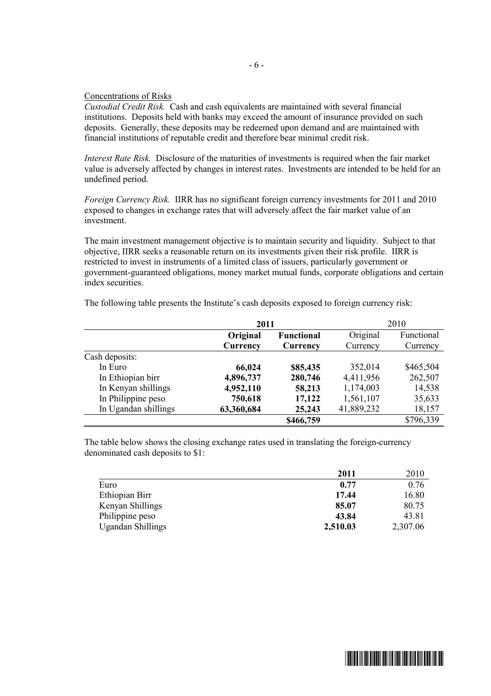## Concentrations of Risks

*Custodial Credit Risk.* Cash and cash equivalents are maintained with several financial institutions. Deposits held with banks may exceed the amount of insurance provided on such deposits. Generally, these deposits may be redeemed upon demand and are maintained with financial institutions of reputable credit and therefore bear minimal credit risk.

*Interest Rate Risk.* Disclosure of the maturities of investments is required when the fair market value is adversely affected by changes in interest rates. Investments are intended to be held for an undefined period.

*Foreign Currency Risk.* IIRR has no significant foreign currency investments for 2011 and 2010 exposed to changes in exchange rates that will adversely affect the fair market value of an investment.

The main investment management objective is to maintain security and liquidity. Subject to that objective, IIRR seeks a reasonable return on its investments given their risk profile. IIRR is restricted to invest in instruments of a limited class of issuers, particularly government or government-guaranteed obligations, money market mutual funds, corporate obligations and certain index securities.

|                      | 2011       |                   |            | 2010       |
|----------------------|------------|-------------------|------------|------------|
|                      | Original   | <b>Functional</b> | Original   | Functional |
|                      | Currency   | Currency          | Currency   | Currency   |
| Cash deposits:       |            |                   |            |            |
| In Euro              | 66,024     | \$85,435          | 352,014    | \$465,504  |
| In Ethiopian birr    | 4,896,737  | 280,746           | 4,411,956  | 262,507    |
| In Kenyan shillings  | 4,952,110  | 58,213            | 1,174,003  | 14,538     |
| In Philippine peso   | 750,618    | 17,122            | 1,561,107  | 35,633     |
| In Ugandan shillings | 63,360,684 | 25,243            | 41,889,232 | 18,157     |
|                      |            | \$466,759         |            | \$796,339  |

The following table presents the Institute's cash deposits exposed to foreign currency risk:

The table below shows the closing exchange rates used in translating the foreign-currency denominated cash deposits to \$1:

|                          | 2011     | 2010     |
|--------------------------|----------|----------|
| Euro                     | 0.77     | 0.76     |
| Ethiopian Birr           | 17.44    | 16.80    |
| Kenyan Shillings         | 85.07    | 80.75    |
| Philippine peso          | 43.84    | 43.81    |
| <b>Ugandan Shillings</b> | 2,510.03 | 2,307.06 |



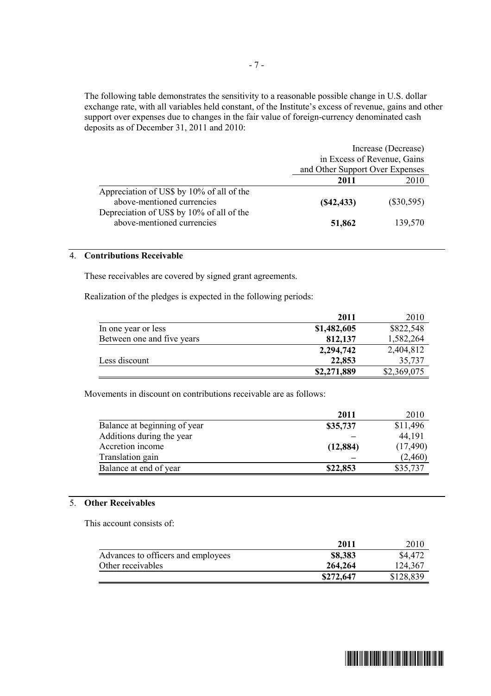The following table demonstrates the sensitivity to a reasonable possible change in U.S. dollar exchange rate, with all variables held constant, of the Institute's excess of revenue, gains and other support over expenses due to changes in the fair value of foreign-currency denominated cash deposits as of December 31, 2011 and 2010:

|                                                                         | Increase (Decrease)             |              |  |
|-------------------------------------------------------------------------|---------------------------------|--------------|--|
|                                                                         | in Excess of Revenue, Gains     |              |  |
|                                                                         | and Other Support Over Expenses |              |  |
|                                                                         | 2011                            | 2010         |  |
| Appreciation of US\$ by 10% of all of the<br>above-mentioned currencies | (S42, 433)                      | $(\$30,595)$ |  |
| Depreciation of US\$ by 10% of all of the<br>above-mentioned currencies | 51,862                          | 139,570      |  |

### 4. **Contributions Receivable**

These receivables are covered by signed grant agreements.

Realization of the pledges is expected in the following periods:

|                            | 2011        | 2010        |
|----------------------------|-------------|-------------|
| In one year or less        | \$1,482,605 | \$822,548   |
| Between one and five years | 812,137     | 1,582,264   |
|                            | 2,294,742   | 2,404,812   |
| Less discount              | 22,853      | 35,737      |
|                            | \$2,271,889 | \$2,369,075 |

Movements in discount on contributions receivable are as follows:

|                              | 2011      | 2010      |
|------------------------------|-----------|-----------|
| Balance at beginning of year | \$35,737  | \$11,496  |
| Additions during the year    |           | 44,191    |
| Accretion income             | (12, 884) | (17, 490) |
| Translation gain             |           | (2,460)   |
| Balance at end of year       | \$22,853  | \$35,737  |

## 5. **Other Receivables**

This account consists of:

|                                    | 2011      | 2010      |
|------------------------------------|-----------|-----------|
| Advances to officers and employees | \$8,383   | \$4,472   |
| Other receivables                  | 264,264   | 124,367   |
|                                    | \$272,647 | \$128,839 |

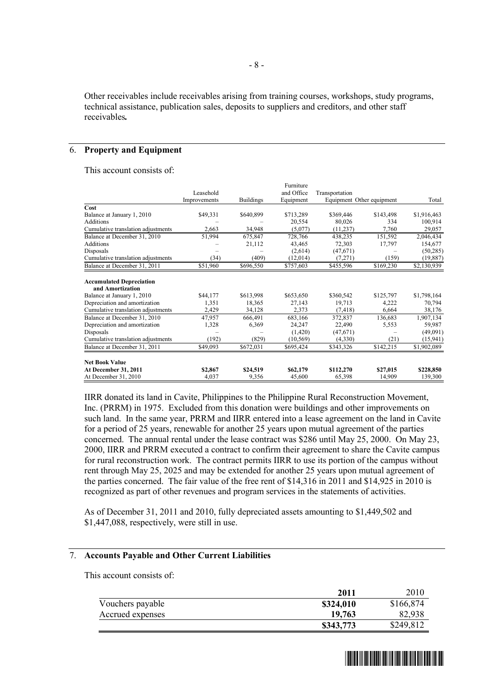Other receivables include receivables arising from training courses, workshops, study programs, technical assistance, publication sales, deposits to suppliers and creditors, and other staff receivables*.* 

### 6. **Property and Equipment**

This account consists of:

| <b>At December 31, 2011</b><br>At December 31, 2010 | \$2,867<br>4,037 | \$24,519<br>9,356 | \$62,179<br>45,600 | \$112,270<br>65,398       | \$27,015<br>14,909 | \$228,850<br>139,300 |
|-----------------------------------------------------|------------------|-------------------|--------------------|---------------------------|--------------------|----------------------|
| <b>Net Book Value</b>                               |                  |                   |                    |                           |                    |                      |
| Balance at December 31, 2011                        | \$49,093         | \$672,031         | \$695,424          | \$343,326                 | \$142,215          | \$1,902,089          |
| Cumulative translation adjustments                  | (192)            | (829)             | (10, 569)          | (4,330)                   | (21)               | (15, 941)            |
| Disposals                                           |                  |                   | (1,420)            | (47,671)                  |                    | (49,091)             |
| Depreciation and amortization                       | 1,328            | 6,369             | 24,247             | 22,490                    | 5,553              | 59,987               |
| Balance at December 31, 2010                        | 47,957           | 666,491           | 683,166            | 372,837                   | 136,683            | 1,907,134            |
| Cumulative translation adjustments                  | 2,429            | 34,128            | 2,373              | (7, 418)                  | 6,664              | 38,176               |
| Depreciation and amortization                       | 1,351            | 18,365            | 27,143             | 19,713                    | 4,222              | 70,794               |
| Balance at January 1, 2010                          | \$44,177         | \$613,998         | \$653,650          | \$360,542                 | \$125,797          | \$1,798,164          |
| <b>Accumulated Depreciation</b><br>and Amortization |                  |                   |                    |                           |                    |                      |
| Balance at December 31, 2011                        | \$51,960         | \$696,550         | \$757,603          | \$455,596                 | \$169,230          | \$2,130,939          |
| Cumulative translation adjustments                  | (34)             | (409)             | (12,014)           | (7,271)                   | (159)              | (19, 887)            |
| Disposals                                           |                  |                   | (2,614)            | (47,671)                  |                    | (50, 285)            |
| <b>Additions</b>                                    |                  | 21,112            | 43,465             | 72,303                    | 17,797             | 154,677              |
| Balance at December 31, 2010                        | 51,994           | 675,847           | 728,766            | 438,235                   | 151,592            | 2,046,434            |
| Cumulative translation adjustments                  | 2,663            | 34,948            | (5,077)            | (11, 237)                 | 7,760              | 29,057               |
| Additions                                           |                  |                   | 20,554             | 80,026                    | 334                | 100,914              |
| Cost<br>Balance at January 1, 2010                  | \$49,331         | \$640,899         | \$713,289          | \$369,446                 | \$143,498          | \$1,916,463          |
|                                                     | Improvements     | <b>Buildings</b>  | Equipment          | Equipment Other equipment |                    | Total                |
|                                                     | Leasehold        |                   | and Office         | Transportation            |                    |                      |
|                                                     |                  |                   | Furniture          |                           |                    |                      |

IIRR donated its land in Cavite, Philippines to the Philippine Rural Reconstruction Movement, Inc. (PRRM) in 1975. Excluded from this donation were buildings and other improvements on such land. In the same year, PRRM and IIRR entered into a lease agreement on the land in Cavite for a period of 25 years, renewable for another 25 years upon mutual agreement of the parties concerned. The annual rental under the lease contract was \$286 until May 25, 2000. On May 23, 2000, IIRR and PRRM executed a contract to confirm their agreement to share the Cavite campus for rural reconstruction work. The contract permits IIRR to use its portion of the campus without rent through May 25, 2025 and may be extended for another 25 years upon mutual agreement of the parties concerned. The fair value of the free rent of \$14,316 in 2011 and \$14,925 in 2010 is recognized as part of other revenues and program services in the statements of activities.

As of December 31, 2011 and 2010, fully depreciated assets amounting to \$1,449,502 and \$1,447,088, respectively, were still in use.

### 7. **Accounts Payable and Other Current Liabilities**

This account consists of:

| 2011      | 2010      |
|-----------|-----------|
| \$324,010 | \$166,874 |
| 19,763    | 82,938    |
| \$343,773 | \$249,812 |
|           |           |

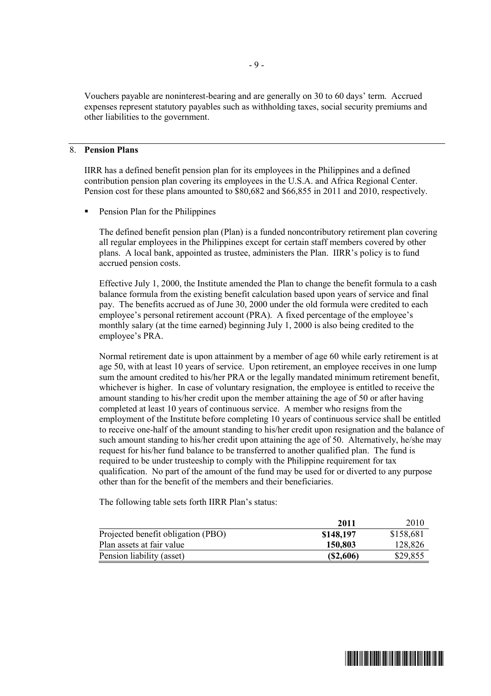Vouchers payable are noninterest-bearing and are generally on 30 to 60 days' term. Accrued expenses represent statutory payables such as withholding taxes, social security premiums and other liabilities to the government.

## 8. **Pension Plans**

IIRR has a defined benefit pension plan for its employees in the Philippines and a defined contribution pension plan covering its employees in the U.S.A. and Africa Regional Center. Pension cost for these plans amounted to \$80,682 and \$66,855 in 2011 and 2010, respectively.

ß Pension Plan for the Philippines

The defined benefit pension plan (Plan) is a funded noncontributory retirement plan covering all regular employees in the Philippines except for certain staff members covered by other plans. A local bank, appointed as trustee, administers the Plan. IIRR's policy is to fund accrued pension costs.

Effective July 1, 2000, the Institute amended the Plan to change the benefit formula to a cash balance formula from the existing benefit calculation based upon years of service and final pay. The benefits accrued as of June 30, 2000 under the old formula were credited to each employee's personal retirement account (PRA). A fixed percentage of the employee's monthly salary (at the time earned) beginning July 1, 2000 is also being credited to the employee's PRA.

Normal retirement date is upon attainment by a member of age 60 while early retirement is at age 50, with at least 10 years of service. Upon retirement, an employee receives in one lump sum the amount credited to his/her PRA or the legally mandated minimum retirement benefit, whichever is higher. In case of voluntary resignation, the employee is entitled to receive the amount standing to his/her credit upon the member attaining the age of 50 or after having completed at least 10 years of continuous service. A member who resigns from the employment of the Institute before completing 10 years of continuous service shall be entitled to receive one-half of the amount standing to his/her credit upon resignation and the balance of such amount standing to his/her credit upon attaining the age of 50. Alternatively, he/she may request for his/her fund balance to be transferred to another qualified plan. The fund is required to be under trusteeship to comply with the Philippine requirement for tax qualification. No part of the amount of the fund may be used for or diverted to any purpose other than for the benefit of the members and their beneficiaries.

The following table sets forth IIRR Plan's status:

|                                    | 2011      | 2010      |
|------------------------------------|-----------|-----------|
| Projected benefit obligation (PBO) | \$148,197 | \$158,681 |
| Plan assets at fair value          | 150,803   | 128,826   |
| Pension liability (asset)          | (S2,606)  | \$29,855  |

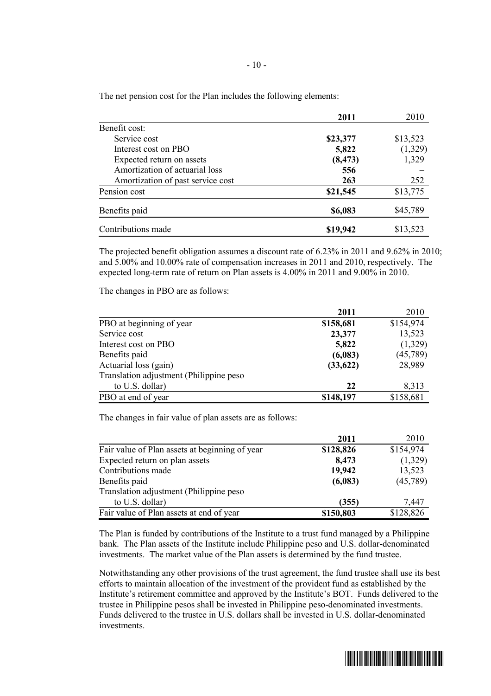|                                   | 2011     | 2010     |
|-----------------------------------|----------|----------|
| Benefit cost:                     |          |          |
| Service cost                      | \$23,377 | \$13,523 |
| Interest cost on PBO              | 5,822    | (1,329)  |
| Expected return on assets         | (8, 473) | 1,329    |
| Amortization of actuarial loss    | 556      |          |
| Amortization of past service cost | 263      | 252      |
| Pension cost                      | \$21,545 | \$13,775 |
| Benefits paid                     | \$6,083  | \$45,789 |
| Contributions made                | \$19,942 | \$13,523 |

The net pension cost for the Plan includes the following elements:

The projected benefit obligation assumes a discount rate of 6.23% in 2011 and 9.62% in 2010; and 5.00% and 10.00% rate of compensation increases in 2011 and 2010, respectively. The expected long-term rate of return on Plan assets is 4.00% in 2011 and 9.00% in 2010.

The changes in PBO are as follows:

|                                         | 2011      | 2010      |
|-----------------------------------------|-----------|-----------|
| PBO at beginning of year                | \$158,681 | \$154,974 |
| Service cost                            | 23,377    | 13,523    |
| Interest cost on PBO                    | 5,822     | (1,329)   |
| Benefits paid                           | (6,083)   | (45,789)  |
| Actuarial loss (gain)                   | (33, 622) | 28,989    |
| Translation adjustment (Philippine peso |           |           |
| to U.S. dollar)                         | 22        | 8,313     |
| PBO at end of year                      | \$148,197 | \$158,681 |

The changes in fair value of plan assets are as follows:

|                                                | 2011      | 2010      |
|------------------------------------------------|-----------|-----------|
| Fair value of Plan assets at beginning of year | \$128,826 | \$154,974 |
| Expected return on plan assets                 | 8,473     | (1,329)   |
| Contributions made                             | 19,942    | 13,523    |
| Benefits paid                                  | (6,083)   | (45,789)  |
| Translation adjustment (Philippine peso        |           |           |
| to U.S. dollar)                                | (355)     | 7,447     |
| Fair value of Plan assets at end of year       | \$150,803 | \$128,826 |

The Plan is funded by contributions of the Institute to a trust fund managed by a Philippine bank. The Plan assets of the Institute include Philippine peso and U.S. dollar-denominated investments. The market value of the Plan assets is determined by the fund trustee.

Notwithstanding any other provisions of the trust agreement, the fund trustee shall use its best efforts to maintain allocation of the investment of the provident fund as established by the Institute's retirement committee and approved by the Institute's BOT. Funds delivered to the trustee in Philippine pesos shall be invested in Philippine peso-denominated investments. Funds delivered to the trustee in U.S. dollars shall be invested in U.S. dollar-denominated investments.

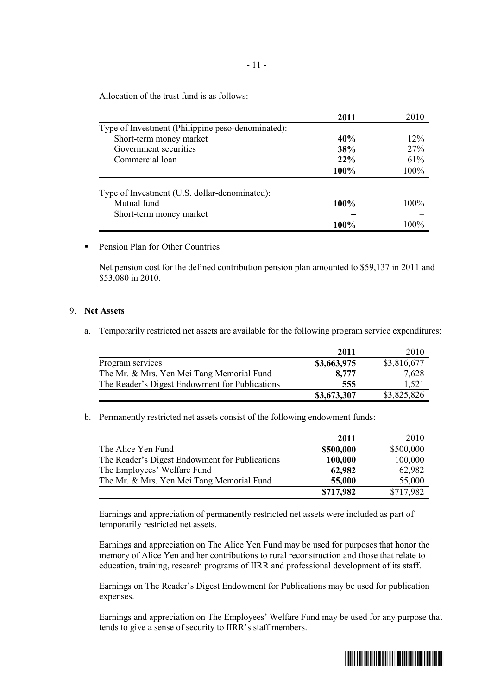Allocation of the trust fund is as follows:

| 2011    | 2010    |
|---------|---------|
|         |         |
| 40%     | 12%     |
| 38%     | 27%     |
| 22%     | 61%     |
| 100%    | 100%    |
|         |         |
|         |         |
| $100\%$ | $100\%$ |
|         |         |
| 100%    | $100\%$ |
|         |         |

**• Pension Plan for Other Countries** 

Net pension cost for the defined contribution pension plan amounted to \$59,137 in 2011 and \$53,080 in 2010.

#### 9. **Net Assets**

a. Temporarily restricted net assets are available for the following program service expenditures:

|                                                | 2011        | 2010        |
|------------------------------------------------|-------------|-------------|
| Program services                               | \$3,663,975 | \$3,816,677 |
| The Mr. & Mrs. Yen Mei Tang Memorial Fund      | 8,777       | 7,628       |
| The Reader's Digest Endowment for Publications | 555         | 1.521       |
|                                                | \$3,673,307 | \$3,825,826 |

b. Permanently restricted net assets consist of the following endowment funds:

|                                                | 2011      | 2010      |
|------------------------------------------------|-----------|-----------|
| The Alice Yen Fund                             | \$500,000 | \$500,000 |
| The Reader's Digest Endowment for Publications | 100,000   | 100,000   |
| The Employees' Welfare Fund                    | 62,982    | 62,982    |
| The Mr. & Mrs. Yen Mei Tang Memorial Fund      | 55,000    | 55,000    |
|                                                | \$717,982 | \$717,982 |

Earnings and appreciation of permanently restricted net assets were included as part of temporarily restricted net assets.

Earnings and appreciation on The Alice Yen Fund may be used for purposes that honor the memory of Alice Yen and her contributions to rural reconstruction and those that relate to education, training, research programs of IIRR and professional development of its staff.

Earnings on The Reader's Digest Endowment for Publications may be used for publication expenses.

Earnings and appreciation on The Employees' Welfare Fund may be used for any purpose that tends to give a sense of security to IIRR's staff members.

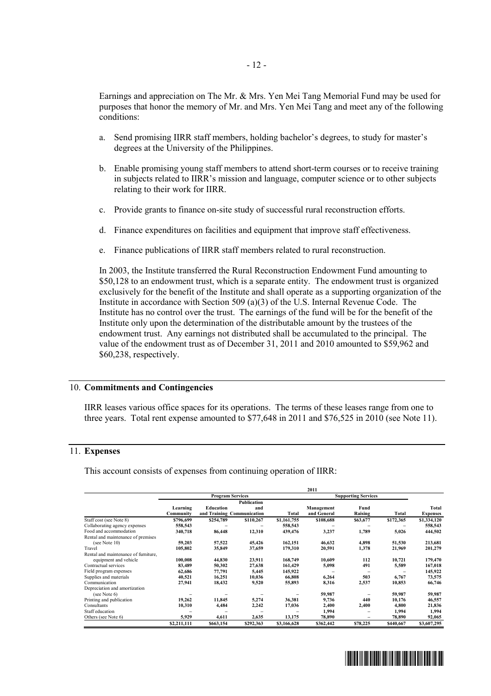Earnings and appreciation on The Mr. & Mrs. Yen Mei Tang Memorial Fund may be used for purposes that honor the memory of Mr. and Mrs. Yen Mei Tang and meet any of the following conditions:

- a. Send promising IIRR staff members, holding bachelor's degrees, to study for master's degrees at the University of the Philippines.
- b. Enable promising young staff members to attend short-term courses or to receive training in subjects related to IIRR's mission and language, computer science or to other subjects relating to their work for IIRR.
- c. Provide grants to finance on-site study of successful rural reconstruction efforts.
- d. Finance expenditures on facilities and equipment that improve staff effectiveness.
- e. Finance publications of IIRR staff members related to rural reconstruction.

In 2003, the Institute transferred the Rural Reconstruction Endowment Fund amounting to \$50,128 to an endowment trust, which is a separate entity. The endowment trust is organized exclusively for the benefit of the Institute and shall operate as a supporting organization of the Institute in accordance with Section 509 (a)(3) of the U.S. Internal Revenue Code. The Institute has no control over the trust.The earnings of the fund will be for the benefit of the Institute only upon the determination of the distributable amount by the trustees of the endowment trust. Any earnings not distributed shall be accumulated to the principal.The value of the endowment trust as of December 31, 2011 and 2010 amounted to \$59,962 and \$60,238, respectively.

## 10. **Commitments and Contingencies**

IIRR leases various office spaces for its operations. The terms of these leases range from one to three years. Total rent expense amounted to \$77,648 in 2011 and \$76,525 in 2010 (see Note 11).

## 11. **Expenses**

This account consists of expenses from continuing operation of IIRR:

|                                      |                         |                            |                    |             | 2011                       |          |           |                 |
|--------------------------------------|-------------------------|----------------------------|--------------------|-------------|----------------------------|----------|-----------|-----------------|
|                                      | <b>Program Services</b> |                            |                    |             | <b>Supporting Services</b> |          |           |                 |
|                                      |                         |                            | <b>Publication</b> |             |                            |          |           |                 |
|                                      | Learning                | Education                  | and                |             | Management                 | Fund     |           | Total           |
|                                      | Community               | and Training Communication |                    | Total       | and General                | Raising  | Total     | <b>Expenses</b> |
| Staff cost (see Note 8)              | \$796,699               | \$254,789                  | \$110,267          | \$1,161,755 | \$108,688                  | \$63,677 | \$172,365 | \$1,334,120     |
| Collaborating agency expenses        | 558,543                 |                            |                    | 558,543     |                            |          |           | 558,543         |
| Food and accommodation               | 340,718                 | 86,448                     | 12,310             | 439,476     | 3,237                      | 1,789    | 5,026     | 444,502         |
| Rental and maintenance of premises   |                         |                            |                    |             |                            |          |           |                 |
| (see Note $10$ )                     | 59,203                  | 57,522                     | 45,426             | 162,151     | 46,632                     | 4,898    | 51,530    | 213,681         |
| Travel                               | 105,802                 | 35,849                     | 37,659             | 179,310     | 20,591                     | 1,378    | 21,969    | 201,279         |
| Rental and maintenance of furniture, |                         |                            |                    |             |                            |          |           |                 |
| equipment and vehicle                | 100,008                 | 44,830                     | 23,911             | 168,749     | 10,609                     | 112      | 10,721    | 179,470         |
| Contractual services                 | 83,489                  | 50,302                     | 27,638             | 161.429     | 5,098                      | 491      | 5,589     | 167,018         |
| Field program expenses               | 62,686                  | 77,791                     | 5,445              | 145,922     |                            |          |           | 145,922         |
| Supplies and materials               | 40,521                  | 16,251                     | 10,036             | 66,808      | 6,264                      | 503      | 6,767     | 73,575          |
| Communication                        | 27,941                  | 18,432                     | 9,520              | 55,893      | 8,316                      | 2,537    | 10,853    | 66,746          |
| Depreciation and amortization        |                         |                            |                    |             |                            |          |           |                 |
| (see Note 6)                         |                         |                            |                    |             | 59,987                     |          | 59,987    | 59,987          |
| Printing and publication             | 19,262                  | 11,845                     | 5,274              | 36,381      | 9.736                      | 440      | 10.176    | 46,557          |
| Consultants                          | 10,310                  | 4,484                      | 2,242              | 17,036      | 2,400                      | 2,400    | 4,800     | 21,836          |
| Staff education                      |                         |                            |                    |             | 1,994                      |          | 1,994     | 1,994           |
| Others (see Note 6)                  | 5,929                   | 4,611                      | 2,635              | 13,175      | 78,890                     |          | 78,890    | 92,065          |
|                                      | \$2,211,111             | \$663,154                  | \$292,363          | \$3,166,628 | \$362,442                  | \$78,225 | \$440,667 | \$3,607,295     |